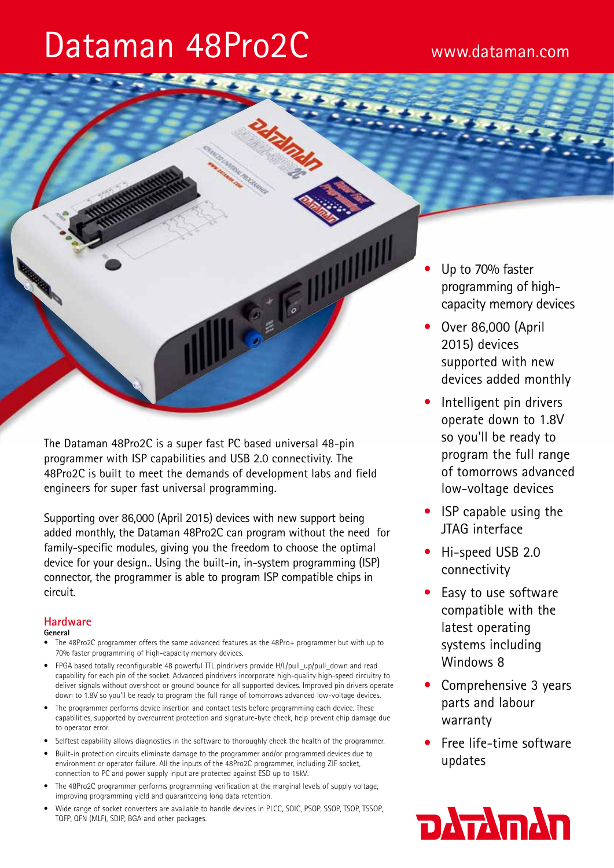# Dataman 48Pro2C www.dataman.com

The Dataman 48Pro2C is a super fast PC based universal 48-pin programmer with ISP capabilities and USB 2.0 connectivity. The 48Pro2C is built to meet the demands of development labs and field engineers for super fast universal programming.

**CELLEN AND AND AND REAL PROPERTY** 

Supporting over 86,000 (April 2015) devices with new support being added monthly, the Dataman 48Pro2C can program without the need for family-specific modules, giving you the freedom to choose the optimal device for your design.. Using the built-in, in-system programming (ISP) connector, the programmer is able to program ISP compatible chips in circuit.

# **Hardware**

## **General**

- The 48Pro2C programmer offers the same advanced features as the 48Pro+ programmer but with up to 70% faster programming of high-capacity memory devices.
- FPGA based totally reconfigurable 48 powerful TTL pindrivers provide H/L/pull\_up/pull\_down and read capability for each pin of the socket. Advanced pindrivers incorporate high-quality high-speed circuitry to deliver signals without overshoot or ground bounce for all supported devices. Improved pin drivers operate down to 1.8V so you'll be ready to program the full range of tomorrows advanced low-voltage devices.
- The programmer performs device insertion and contact tests before programming each device. These capabilities, supported by overcurrent protection and signature-byte check, help prevent chip damage due to operator error.
- Selftest capability allows diagnostics in the software to thoroughly check the health of the programmer.
- Built-in protection circuits eliminate damage to the programmer and/or programmed devices due to environment or operator failure. All the inputs of the 48Pro2C programmer, including ZIF socket, connection to PC and power supply input are protected against ESD up to 15kV.
- The 48Pro2C programmer performs programming verification at the marginal levels of supply voltage, improving programming yield and guaranteeing long data retention.
- Wide range of socket converters are available to handle devices in PLCC, SOIC, PSOP, SSOP, TSOP, TSSOP, TQFP, QFN (MLF), SDIP, BGA and other packages.
- Up to 70% faster programming of highcapacity memory devices
- Over 86,000 (April 2015) devices supported with new devices added monthly
- Intelligent pin drivers operate down to 1.8V so you'll be ready to program the full range of tomorrows advanced low-voltage devices
- ISP capable using the JTAG interface
- Hi-speed USB 2.0 connectivity
- Easy to use software compatible with the latest operating systems including Windows 8
- Comprehensive 3 years parts and labour warranty
- Free life-time software updates